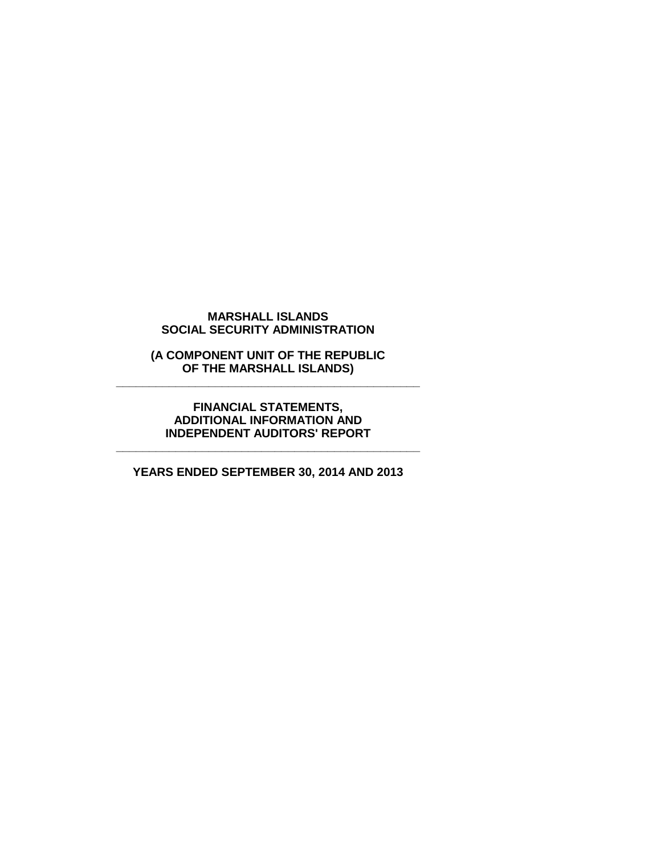## **MARSHALL ISLANDS SOCIAL SECURITY ADMINISTRATION**

**(A COMPONENT UNIT OF THE REPUBLIC OF THE MARSHALL ISLANDS) \_\_\_\_\_\_\_\_\_\_\_\_\_\_\_\_\_\_\_\_\_\_\_\_\_\_\_\_\_\_\_\_\_\_\_\_\_\_\_\_\_\_\_\_\_\_**

### **FINANCIAL STATEMENTS, ADDITIONAL INFORMATION AND INDEPENDENT AUDITORS' REPORT**

**\_\_\_\_\_\_\_\_\_\_\_\_\_\_\_\_\_\_\_\_\_\_\_\_\_\_\_\_\_\_\_\_\_\_\_\_\_\_\_\_\_\_\_\_\_\_**

**YEARS ENDED SEPTEMBER 30, 2014 AND 2013**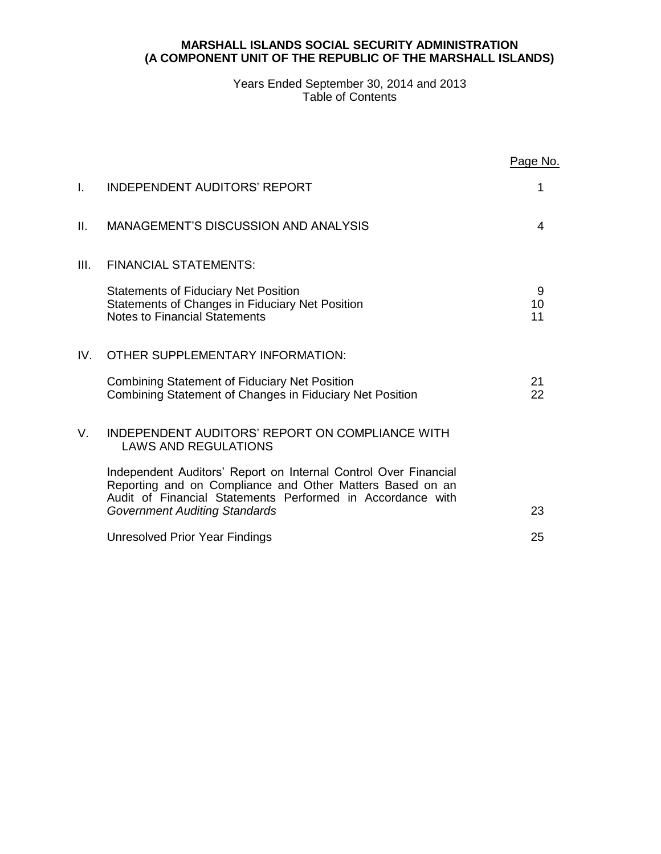## Years Ended September 30, 2014 and 2013 Table of Contents

|     |                                                                                                                                                                                                                                    | Page No.      |
|-----|------------------------------------------------------------------------------------------------------------------------------------------------------------------------------------------------------------------------------------|---------------|
| I.  | <b>INDEPENDENT AUDITORS' REPORT</b>                                                                                                                                                                                                | 1             |
| ΙΙ. | <b>MANAGEMENT'S DISCUSSION AND ANALYSIS</b>                                                                                                                                                                                        | 4             |
| Ш.  | <b>FINANCIAL STATEMENTS:</b>                                                                                                                                                                                                       |               |
|     | <b>Statements of Fiduciary Net Position</b><br>Statements of Changes in Fiduciary Net Position<br><b>Notes to Financial Statements</b>                                                                                             | 9<br>10<br>11 |
| IV. | OTHER SUPPLEMENTARY INFORMATION:                                                                                                                                                                                                   |               |
|     | <b>Combining Statement of Fiduciary Net Position</b><br>Combining Statement of Changes in Fiduciary Net Position                                                                                                                   | 21<br>22      |
| V.  | INDEPENDENT AUDITORS' REPORT ON COMPLIANCE WITH<br><b>LAWS AND REGULATIONS</b>                                                                                                                                                     |               |
|     | Independent Auditors' Report on Internal Control Over Financial<br>Reporting and on Compliance and Other Matters Based on an<br>Audit of Financial Statements Performed in Accordance with<br><b>Government Auditing Standards</b> | 23            |
|     | Unresolved Prior Year Findings                                                                                                                                                                                                     | 25            |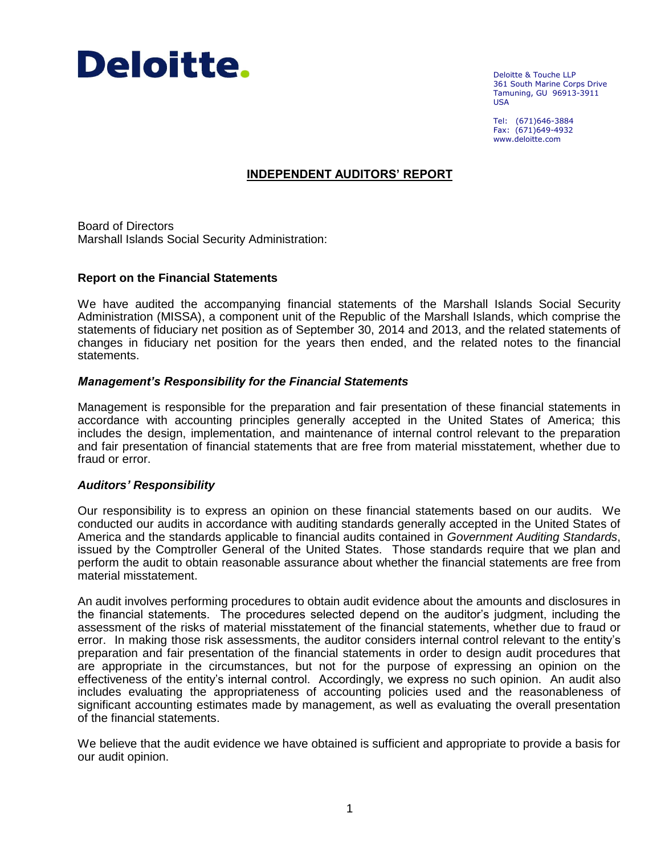

Deloitte & Touche LLP 361 South Marine Corps Drive Tamuning, GU 96913-3911 USA

Tel: (671)646-3884 Fax: (671)649-4932 www.deloitte.com

# **INDEPENDENT AUDITORS' REPORT**

Board of Directors Marshall Islands Social Security Administration:

## **Report on the Financial Statements**

We have audited the accompanying financial statements of the Marshall Islands Social Security Administration (MISSA), a component unit of the Republic of the Marshall Islands, which comprise the statements of fiduciary net position as of September 30, 2014 and 2013, and the related statements of changes in fiduciary net position for the years then ended, and the related notes to the financial statements.

## *Management's Responsibility for the Financial Statements*

Management is responsible for the preparation and fair presentation of these financial statements in accordance with accounting principles generally accepted in the United States of America; this includes the design, implementation, and maintenance of internal control relevant to the preparation and fair presentation of financial statements that are free from material misstatement, whether due to fraud or error.

#### *Auditors' Responsibility*

Our responsibility is to express an opinion on these financial statements based on our audits. We conducted our audits in accordance with auditing standards generally accepted in the United States of America and the standards applicable to financial audits contained in *Government Auditing Standards*, issued by the Comptroller General of the United States. Those standards require that we plan and perform the audit to obtain reasonable assurance about whether the financial statements are free from material misstatement.

An audit involves performing procedures to obtain audit evidence about the amounts and disclosures in the financial statements. The procedures selected depend on the auditor's judgment, including the assessment of the risks of material misstatement of the financial statements, whether due to fraud or error. In making those risk assessments, the auditor considers internal control relevant to the entity's preparation and fair presentation of the financial statements in order to design audit procedures that are appropriate in the circumstances, but not for the purpose of expressing an opinion on the effectiveness of the entity's internal control. Accordingly, we express no such opinion. An audit also includes evaluating the appropriateness of accounting policies used and the reasonableness of significant accounting estimates made by management, as well as evaluating the overall presentation of the financial statements.

We believe that the audit evidence we have obtained is sufficient and appropriate to provide a basis for our audit opinion.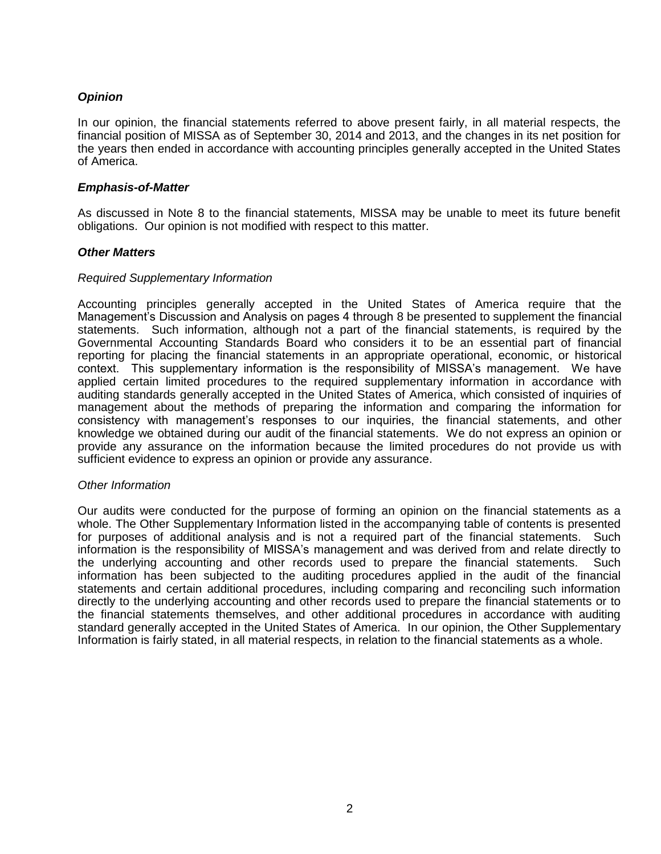## *Opinion*

In our opinion, the financial statements referred to above present fairly, in all material respects, the financial position of MISSA as of September 30, 2014 and 2013, and the changes in its net position for the years then ended in accordance with accounting principles generally accepted in the United States of America.

## *Emphasis-of-Matter*

As discussed in Note 8 to the financial statements, MISSA may be unable to meet its future benefit obligations. Our opinion is not modified with respect to this matter.

## *Other Matters*

## *Required Supplementary Information*

Accounting principles generally accepted in the United States of America require that the Management's Discussion and Analysis on pages 4 through 8 be presented to supplement the financial statements. Such information, although not a part of the financial statements, is required by the Governmental Accounting Standards Board who considers it to be an essential part of financial reporting for placing the financial statements in an appropriate operational, economic, or historical context. This supplementary information is the responsibility of MISSA's management. We have applied certain limited procedures to the required supplementary information in accordance with auditing standards generally accepted in the United States of America, which consisted of inquiries of management about the methods of preparing the information and comparing the information for consistency with management's responses to our inquiries, the financial statements, and other knowledge we obtained during our audit of the financial statements. We do not express an opinion or provide any assurance on the information because the limited procedures do not provide us with sufficient evidence to express an opinion or provide any assurance.

#### *Other Information*

Our audits were conducted for the purpose of forming an opinion on the financial statements as a whole. The Other Supplementary Information listed in the accompanying table of contents is presented for purposes of additional analysis and is not a required part of the financial statements. Such information is the responsibility of MISSA's management and was derived from and relate directly to the underlying accounting and other records used to prepare the financial statements. Such information has been subjected to the auditing procedures applied in the audit of the financial statements and certain additional procedures, including comparing and reconciling such information directly to the underlying accounting and other records used to prepare the financial statements or to the financial statements themselves, and other additional procedures in accordance with auditing standard generally accepted in the United States of America. In our opinion, the Other Supplementary Information is fairly stated, in all material respects, in relation to the financial statements as a whole.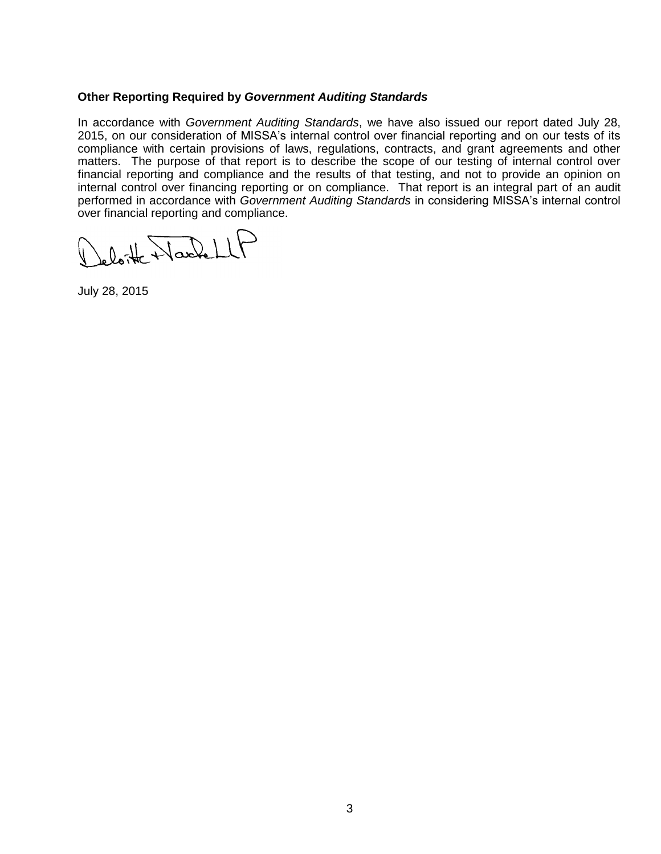## **Other Reporting Required by** *Government Auditing Standards*

In accordance with *Government Auditing Standards*, we have also issued our report dated July 28, 2015, on our consideration of MISSA's internal control over financial reporting and on our tests of its compliance with certain provisions of laws, regulations, contracts, and grant agreements and other matters. The purpose of that report is to describe the scope of our testing of internal control over financial reporting and compliance and the results of that testing, and not to provide an opinion on internal control over financing reporting or on compliance. That report is an integral part of an audit performed in accordance with *Government Auditing Standards* in considering MISSA's internal control over financial reporting and compliance.

loite Naskell

July 28, 2015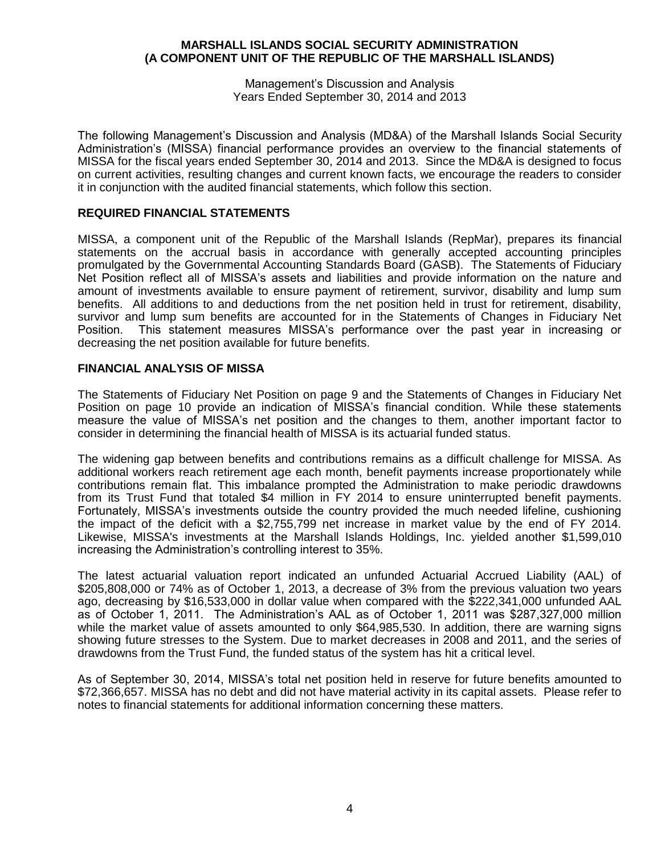Management's Discussion and Analysis Years Ended September 30, 2014 and 2013

The following Management's Discussion and Analysis (MD&A) of the Marshall Islands Social Security Administration's (MISSA) financial performance provides an overview to the financial statements of MISSA for the fiscal years ended September 30, 2014 and 2013. Since the MD&A is designed to focus on current activities, resulting changes and current known facts, we encourage the readers to consider it in conjunction with the audited financial statements, which follow this section.

## **REQUIRED FINANCIAL STATEMENTS**

MISSA, a component unit of the Republic of the Marshall Islands (RepMar), prepares its financial statements on the accrual basis in accordance with generally accepted accounting principles promulgated by the Governmental Accounting Standards Board (GASB). The Statements of Fiduciary Net Position reflect all of MISSA's assets and liabilities and provide information on the nature and amount of investments available to ensure payment of retirement, survivor, disability and lump sum benefits. All additions to and deductions from the net position held in trust for retirement, disability, survivor and lump sum benefits are accounted for in the Statements of Changes in Fiduciary Net Position. This statement measures MISSA's performance over the past year in increasing or decreasing the net position available for future benefits.

## **FINANCIAL ANALYSIS OF MISSA**

The Statements of Fiduciary Net Position on page 9 and the Statements of Changes in Fiduciary Net Position on page 10 provide an indication of MISSA's financial condition. While these statements measure the value of MISSA's net position and the changes to them, another important factor to consider in determining the financial health of MISSA is its actuarial funded status.

The widening gap between benefits and contributions remains as a difficult challenge for MISSA. As additional workers reach retirement age each month, benefit payments increase proportionately while contributions remain flat. This imbalance prompted the Administration to make periodic drawdowns from its Trust Fund that totaled \$4 million in FY 2014 to ensure uninterrupted benefit payments. Fortunately, MISSA's investments outside the country provided the much needed lifeline, cushioning the impact of the deficit with a \$2,755,799 net increase in market value by the end of FY 2014. Likewise, MISSA's investments at the Marshall Islands Holdings, Inc. yielded another \$1,599,010 increasing the Administration's controlling interest to 35%.

The latest actuarial valuation report indicated an unfunded Actuarial Accrued Liability (AAL) of \$205,808,000 or 74% as of October 1, 2013, a decrease of 3% from the previous valuation two years ago, decreasing by \$16,533,000 in dollar value when compared with the \$222,341,000 unfunded AAL as of October 1, 2011. The Administration's AAL as of October 1, 2011 was \$287,327,000 million while the market value of assets amounted to only \$64,985,530. In addition, there are warning signs showing future stresses to the System. Due to market decreases in 2008 and 2011, and the series of drawdowns from the Trust Fund, the funded status of the system has hit a critical level.

As of September 30, 2014, MISSA's total net position held in reserve for future benefits amounted to \$72,366,657. MISSA has no debt and did not have material activity in its capital assets. Please refer to notes to financial statements for additional information concerning these matters.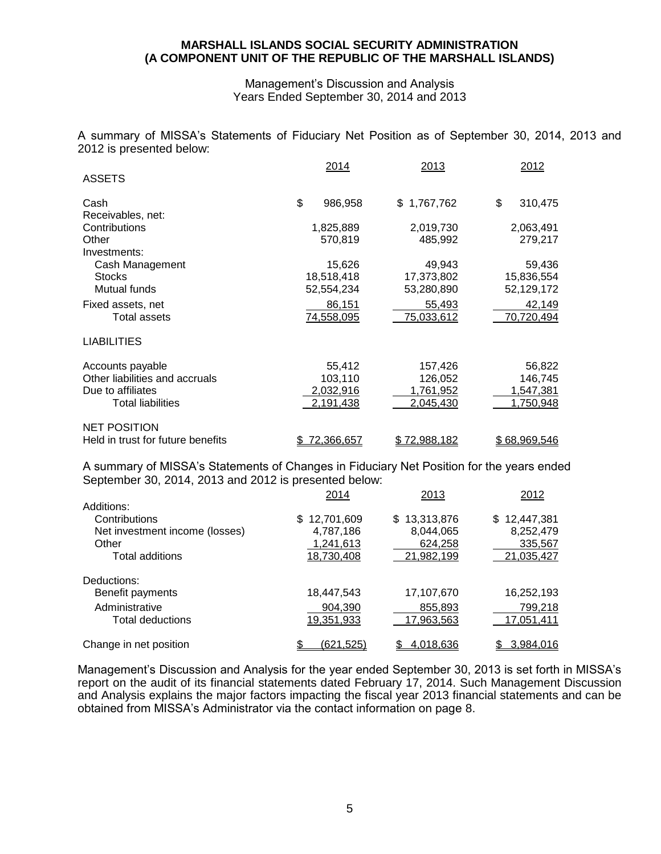Management's Discussion and Analysis Years Ended September 30, 2014 and 2013

A summary of MISSA's Statements of Fiduciary Net Position as of September 30, 2014, 2013 and 2012 is presented below:

|                                   | 2014              | 2013             | 2012                |
|-----------------------------------|-------------------|------------------|---------------------|
| <b>ASSETS</b>                     |                   |                  |                     |
| Cash                              | \$<br>986,958     | \$1,767,762      | \$<br>310,475       |
| Receivables, net:                 |                   |                  |                     |
| Contributions                     | 1,825,889         | 2,019,730        | 2,063,491           |
| Other                             | 570,819           | 485,992          | 279,217             |
| Investments:                      |                   |                  |                     |
| Cash Management                   | 15,626            | 49,943           | 59,436              |
| <b>Stocks</b>                     | 18,518,418        | 17,373,802       | 15,836,554          |
| Mutual funds                      | 52,554,234        | 53,280,890       | 52,129,172          |
| Fixed assets, net                 | 86,151            | 55,493           | 42,149              |
| Total assets                      | 74,558,095        | 75,033,612       | 70,720,494          |
| <b>LIABILITIES</b>                |                   |                  |                     |
| Accounts payable                  | 55,412            | 157,426          | 56,822              |
| Other liabilities and accruals    | 103,110           | 126,052          | 146,745             |
| Due to affiliates                 | 2,032,916         | 1,761,952        | 1,547,381           |
| <b>Total liabilities</b>          | 2,191,438         | 2,045,430        | 1,750,948           |
| <b>NET POSITION</b>               |                   |                  |                     |
| Held in trust for future benefits | <u>72,366,657</u> | 72,988,182<br>S. | <u>\$68,969,546</u> |

A summary of MISSA's Statements of Changes in Fiduciary Net Position for the years ended September 30, 2014, 2013 and 2012 is presented below:

|                                | 2014              | 2013         | 2012         |
|--------------------------------|-------------------|--------------|--------------|
| Additions:                     |                   |              |              |
| Contributions                  | 12,701,609<br>\$. | \$13,313,876 | \$12,447,381 |
| Net investment income (losses) | 4,787,186         | 8,044,065    | 8,252,479    |
| Other                          | 1,241,613         | 624,258      | 335,567      |
| Total additions                | 18,730,408        | 21,982,199   | 21,035,427   |
| Deductions:                    |                   |              |              |
| Benefit payments               | 18,447,543        | 17,107,670   | 16,252,193   |
| Administrative                 | 904,390           | 855,893      | 799,218      |
| <b>Total deductions</b>        | 19,351,933        | 17,963,563   | 17,051,411   |
| Change in net position         | <u>(621,525)</u>  | 4,018,636    | 3,984,016    |

Management's Discussion and Analysis for the year ended September 30, 2013 is set forth in MISSA's report on the audit of its financial statements dated February 17, 2014. Such Management Discussion and Analysis explains the major factors impacting the fiscal year 2013 financial statements and can be obtained from MISSA's Administrator via the contact information on page 8.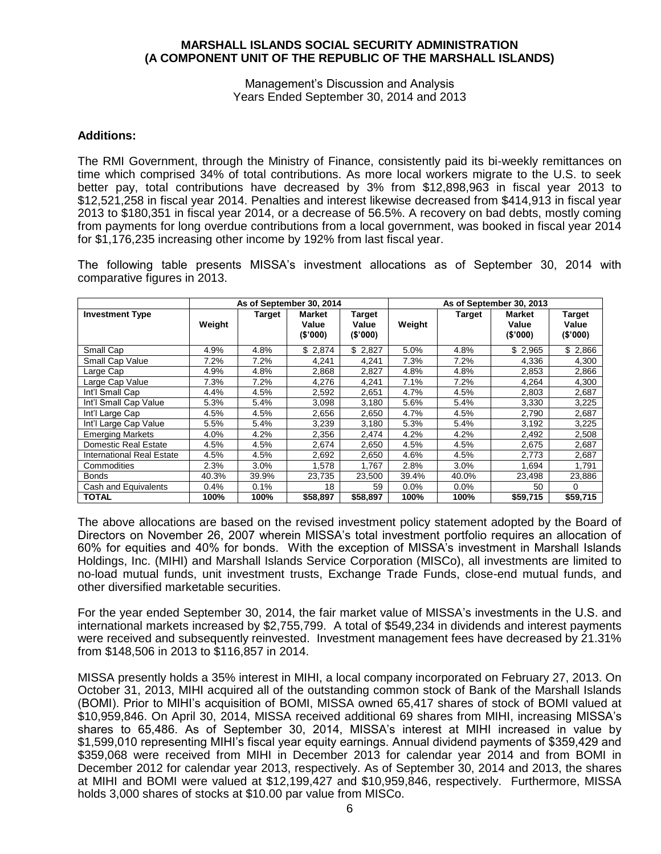Management's Discussion and Analysis Years Ended September 30, 2014 and 2013

## **Additions:**

The RMI Government, through the Ministry of Finance, consistently paid its bi-weekly remittances on time which comprised 34% of total contributions. As more local workers migrate to the U.S. to seek better pay, total contributions have decreased by 3% from \$12,898,963 in fiscal year 2013 to \$12,521,258 in fiscal year 2014. Penalties and interest likewise decreased from \$414,913 in fiscal year 2013 to \$180,351 in fiscal year 2014, or a decrease of 56.5%. A recovery on bad debts, mostly coming from payments for long overdue contributions from a local government, was booked in fiscal year 2014 for \$1,176,235 increasing other income by 192% from last fiscal year.

The following table presents MISSA's investment allocations as of September 30, 2014 with comparative figures in 2013.

|                             | As of September 30, 2014 |               |                                    | As of September 30, 2013    |         |               |                                    |                                    |
|-----------------------------|--------------------------|---------------|------------------------------------|-----------------------------|---------|---------------|------------------------------------|------------------------------------|
| <b>Investment Type</b>      | Weight                   | <b>Target</b> | <b>Market</b><br>Value<br>(\$'000) | Target<br>Value<br>(\$'000) | Weight  | <b>Target</b> | <b>Market</b><br>Value<br>(\$'000) | <b>Target</b><br>Value<br>(\$'000) |
| Small Cap                   | 4.9%                     | 4.8%          | \$2,874                            | \$2,827                     | 5.0%    | 4.8%          | \$2,965                            | \$2,866                            |
| Small Cap Value             | 7.2%                     | 7.2%          | 4,241                              | 4,241                       | 7.3%    | 7.2%          | 4,336                              | 4.300                              |
| Large Cap                   | 4.9%                     | 4.8%          | 2,868                              | 2,827                       | 4.8%    | 4.8%          | 2,853                              | 2,866                              |
| Large Cap Value             | 7.3%                     | 7.2%          | 4,276                              | 4,241                       | 7.1%    | 7.2%          | 4,264                              | 4,300                              |
| Int'l Small Cap             | 4.4%                     | 4.5%          | 2,592                              | 2,651                       | 4.7%    | 4.5%          | 2,803                              | 2,687                              |
| Int'l Small Cap Value       | 5.3%                     | 5.4%          | 3,098                              | 3,180                       | 5.6%    | 5.4%          | 3,330                              | 3,225                              |
| Int'l Large Cap             | 4.5%                     | 4.5%          | 2,656                              | 2,650                       | 4.7%    | 4.5%          | 2,790                              | 2,687                              |
| Int'l Large Cap Value       | $5.5\%$                  | 5.4%          | 3,239                              | 3,180                       | 5.3%    | 5.4%          | 3,192                              | 3,225                              |
| <b>Emerging Markets</b>     | 4.0%                     | 4.2%          | 2,356                              | 2,474                       | 4.2%    | 4.2%          | 2,492                              | 2,508                              |
| <b>Domestic Real Estate</b> | 4.5%                     | 4.5%          | 2,674                              | 2,650                       | 4.5%    | 4.5%          | 2,675                              | 2,687                              |
| International Real Estate   | 4.5%                     | 4.5%          | 2,692                              | 2.650                       | 4.6%    | 4.5%          | 2,773                              | 2,687                              |
| Commodities                 | 2.3%                     | 3.0%          | 1,578                              | 1,767                       | 2.8%    | 3.0%          | 1,694                              | 1,791                              |
| <b>Bonds</b>                | 40.3%                    | 39.9%         | 23,735                             | 23,500                      | 39.4%   | 40.0%         | 23,498                             | 23,886                             |
| Cash and Equivalents        | $0.4\%$                  | 0.1%          | 18                                 | 59                          | $0.0\%$ | $0.0\%$       | 50                                 | 0                                  |
| TOTAL                       | 100%                     | 100%          | \$58,897                           | \$58,897                    | 100%    | 100%          | \$59,715                           | \$59,715                           |

The above allocations are based on the revised investment policy statement adopted by the Board of Directors on November 26, 2007 wherein MISSA's total investment portfolio requires an allocation of 60% for equities and 40% for bonds. With the exception of MISSA's investment in Marshall Islands Holdings, Inc. (MIHI) and Marshall Islands Service Corporation (MISCo), all investments are limited to no-load mutual funds, unit investment trusts, Exchange Trade Funds, close-end mutual funds, and other diversified marketable securities.

For the year ended September 30, 2014, the fair market value of MISSA's investments in the U.S. and international markets increased by \$2,755,799. A total of \$549,234 in dividends and interest payments were received and subsequently reinvested. Investment management fees have decreased by 21.31% from \$148,506 in 2013 to \$116,857 in 2014.

MISSA presently holds a 35% interest in MIHI, a local company incorporated on February 27, 2013. On October 31, 2013, MIHI acquired all of the outstanding common stock of Bank of the Marshall Islands (BOMI). Prior to MIHI's acquisition of BOMI, MISSA owned 65,417 shares of stock of BOMI valued at \$10,959,846. On April 30, 2014, MISSA received additional 69 shares from MIHI, increasing MISSA's shares to 65,486. As of September 30, 2014, MISSA's interest at MIHI increased in value by \$1,599,010 representing MIHI's fiscal year equity earnings. Annual dividend payments of \$359,429 and \$359,068 were received from MIHI in December 2013 for calendar year 2014 and from BOMI in December 2012 for calendar year 2013, respectively. As of September 30, 2014 and 2013, the shares at MIHI and BOMI were valued at \$12,199,427 and \$10,959,846, respectively. Furthermore, MISSA holds 3,000 shares of stocks at \$10.00 par value from MISCo.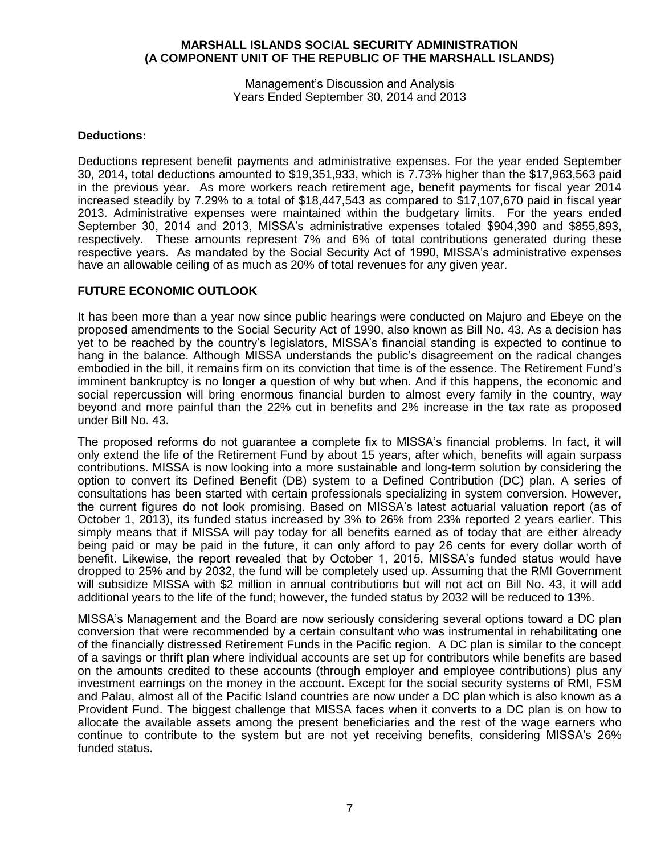Management's Discussion and Analysis Years Ended September 30, 2014 and 2013

## **Deductions:**

Deductions represent benefit payments and administrative expenses. For the year ended September 30, 2014, total deductions amounted to \$19,351,933, which is 7.73% higher than the \$17,963,563 paid in the previous year. As more workers reach retirement age, benefit payments for fiscal year 2014 increased steadily by 7.29% to a total of \$18,447,543 as compared to \$17,107,670 paid in fiscal year 2013. Administrative expenses were maintained within the budgetary limits. For the years ended September 30, 2014 and 2013, MISSA's administrative expenses totaled \$904,390 and \$855,893, respectively. These amounts represent 7% and 6% of total contributions generated during these respective years. As mandated by the Social Security Act of 1990, MISSA's administrative expenses have an allowable ceiling of as much as 20% of total revenues for any given year.

## **FUTURE ECONOMIC OUTLOOK**

It has been more than a year now since public hearings were conducted on Majuro and Ebeye on the proposed amendments to the Social Security Act of 1990, also known as Bill No. 43. As a decision has yet to be reached by the country's legislators, MISSA's financial standing is expected to continue to hang in the balance. Although MISSA understands the public's disagreement on the radical changes embodied in the bill, it remains firm on its conviction that time is of the essence. The Retirement Fund's imminent bankruptcy is no longer a question of why but when. And if this happens, the economic and social repercussion will bring enormous financial burden to almost every family in the country, way beyond and more painful than the 22% cut in benefits and 2% increase in the tax rate as proposed under Bill No. 43.

The proposed reforms do not guarantee a complete fix to MISSA's financial problems. In fact, it will only extend the life of the Retirement Fund by about 15 years, after which, benefits will again surpass contributions. MISSA is now looking into a more sustainable and long-term solution by considering the option to convert its Defined Benefit (DB) system to a Defined Contribution (DC) plan. A series of consultations has been started with certain professionals specializing in system conversion. However, the current figures do not look promising. Based on MISSA's latest actuarial valuation report (as of October 1, 2013), its funded status increased by 3% to 26% from 23% reported 2 years earlier. This simply means that if MISSA will pay today for all benefits earned as of today that are either already being paid or may be paid in the future, it can only afford to pay 26 cents for every dollar worth of benefit. Likewise, the report revealed that by October 1, 2015, MISSA's funded status would have dropped to 25% and by 2032, the fund will be completely used up. Assuming that the RMI Government will subsidize MISSA with \$2 million in annual contributions but will not act on Bill No. 43, it will add additional years to the life of the fund; however, the funded status by 2032 will be reduced to 13%.

MISSA's Management and the Board are now seriously considering several options toward a DC plan conversion that were recommended by a certain consultant who was instrumental in rehabilitating one of the financially distressed Retirement Funds in the Pacific region. A DC plan is similar to the concept of a savings or thrift plan where individual accounts are set up for contributors while benefits are based on the amounts credited to these accounts (through employer and employee contributions) plus any investment earnings on the money in the account. Except for the social security systems of RMI, FSM and Palau, almost all of the Pacific Island countries are now under a DC plan which is also known as a Provident Fund. The biggest challenge that MISSA faces when it converts to a DC plan is on how to allocate the available assets among the present beneficiaries and the rest of the wage earners who continue to contribute to the system but are not yet receiving benefits, considering MISSA's 26% funded status.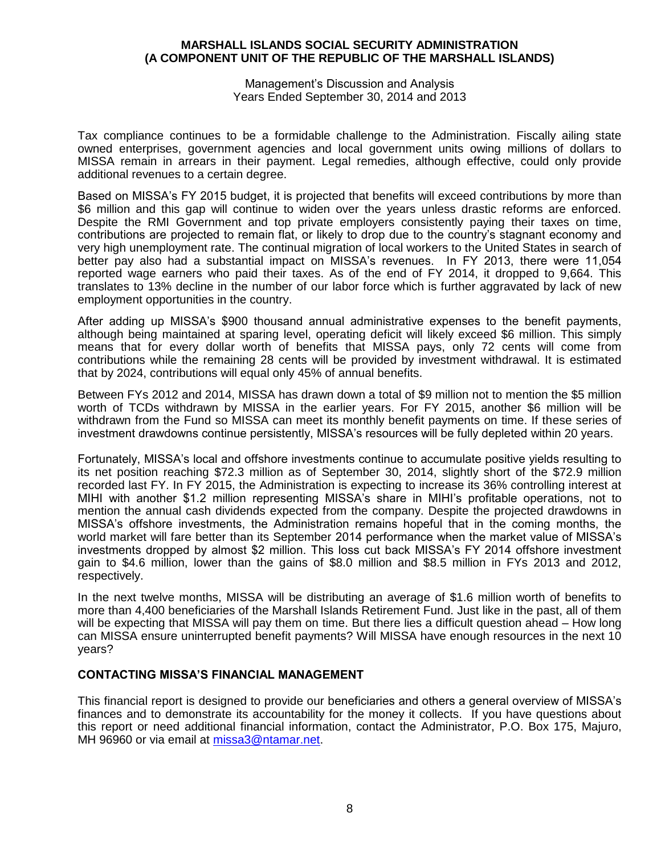Management's Discussion and Analysis Years Ended September 30, 2014 and 2013

Tax compliance continues to be a formidable challenge to the Administration. Fiscally ailing state owned enterprises, government agencies and local government units owing millions of dollars to MISSA remain in arrears in their payment. Legal remedies, although effective, could only provide additional revenues to a certain degree.

Based on MISSA's FY 2015 budget, it is projected that benefits will exceed contributions by more than \$6 million and this gap will continue to widen over the years unless drastic reforms are enforced. Despite the RMI Government and top private employers consistently paying their taxes on time, contributions are projected to remain flat, or likely to drop due to the country's stagnant economy and very high unemployment rate. The continual migration of local workers to the United States in search of better pay also had a substantial impact on MISSA's revenues. In FY 2013, there were 11,054 reported wage earners who paid their taxes. As of the end of FY 2014, it dropped to 9,664. This translates to 13% decline in the number of our labor force which is further aggravated by lack of new employment opportunities in the country.

After adding up MISSA's \$900 thousand annual administrative expenses to the benefit payments, although being maintained at sparing level, operating deficit will likely exceed \$6 million. This simply means that for every dollar worth of benefits that MISSA pays, only 72 cents will come from contributions while the remaining 28 cents will be provided by investment withdrawal. It is estimated that by 2024, contributions will equal only 45% of annual benefits.

Between FYs 2012 and 2014, MISSA has drawn down a total of \$9 million not to mention the \$5 million worth of TCDs withdrawn by MISSA in the earlier years. For FY 2015, another \$6 million will be withdrawn from the Fund so MISSA can meet its monthly benefit payments on time. If these series of investment drawdowns continue persistently, MISSA's resources will be fully depleted within 20 years.

Fortunately, MISSA's local and offshore investments continue to accumulate positive yields resulting to its net position reaching \$72.3 million as of September 30, 2014, slightly short of the \$72.9 million recorded last FY. In FY 2015, the Administration is expecting to increase its 36% controlling interest at MIHI with another \$1.2 million representing MISSA's share in MIHI's profitable operations, not to mention the annual cash dividends expected from the company. Despite the projected drawdowns in MISSA's offshore investments, the Administration remains hopeful that in the coming months, the world market will fare better than its September 2014 performance when the market value of MISSA's investments dropped by almost \$2 million. This loss cut back MISSA's FY 2014 offshore investment gain to \$4.6 million, lower than the gains of \$8.0 million and \$8.5 million in FYs 2013 and 2012, respectively.

In the next twelve months, MISSA will be distributing an average of \$1.6 million worth of benefits to more than 4,400 beneficiaries of the Marshall Islands Retirement Fund. Just like in the past, all of them will be expecting that MISSA will pay them on time. But there lies a difficult question ahead – How long can MISSA ensure uninterrupted benefit payments? Will MISSA have enough resources in the next 10 years?

## **CONTACTING MISSA'S FINANCIAL MANAGEMENT**

This financial report is designed to provide our beneficiaries and others a general overview of MISSA's finances and to demonstrate its accountability for the money it collects. If you have questions about this report or need additional financial information, contact the Administrator, P.O. Box 175, Majuro, MH 96960 or via email at [missa3@ntamar.net.](mailto:missa3@ntamar.net)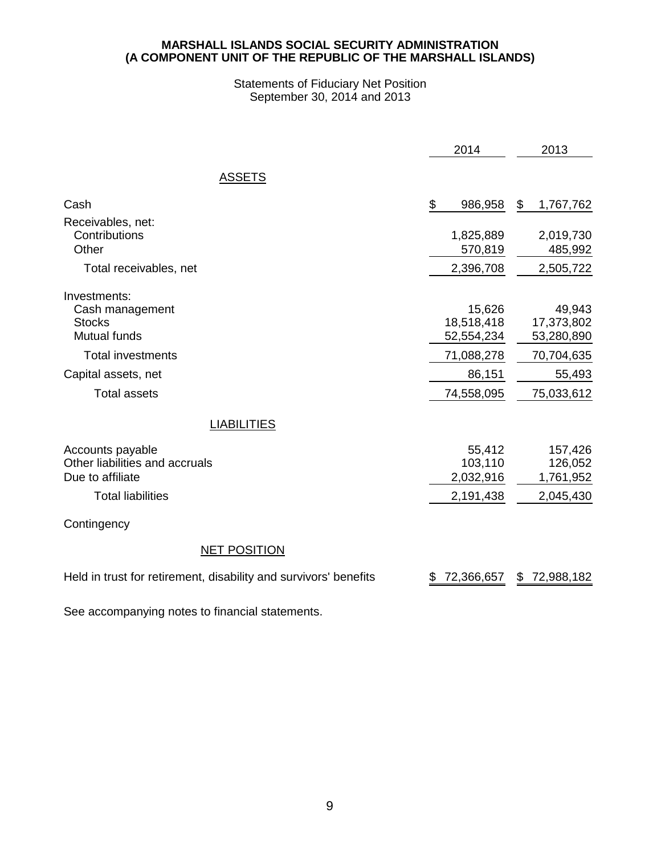## Statements of Fiduciary Net Position September 30, 2014 and 2013

|                                                                                                    | 2014                                        | 2013                                         |
|----------------------------------------------------------------------------------------------------|---------------------------------------------|----------------------------------------------|
| <b>ASSETS</b>                                                                                      |                                             |                                              |
| Cash                                                                                               | \$<br>986,958                               | \$<br>1,767,762                              |
| Receivables, net:<br>Contributions<br>Other                                                        | 1,825,889<br>570,819                        | 2,019,730<br>485,992                         |
| Total receivables, net                                                                             | 2,396,708                                   | 2,505,722                                    |
| Investments:<br>Cash management<br><b>Stocks</b><br><b>Mutual funds</b>                            | 15,626<br>18,518,418<br>52,554,234          | 49,943<br>17,373,802<br>53,280,890           |
| <b>Total investments</b>                                                                           | 71,088,278                                  | 70,704,635                                   |
| Capital assets, net<br><b>Total assets</b>                                                         | 86,151<br>74,558,095                        | 55,493<br>75,033,612                         |
| <b>LIABILITIES</b>                                                                                 |                                             |                                              |
| Accounts payable<br>Other liabilities and accruals<br>Due to affiliate<br><b>Total liabilities</b> | 55,412<br>103,110<br>2,032,916<br>2,191,438 | 157,426<br>126,052<br>1,761,952<br>2,045,430 |
| Contingency                                                                                        |                                             |                                              |
| <b>NET POSITION</b>                                                                                |                                             |                                              |
| Held in trust for retirement, disability and survivors' benefits                                   | \$<br>72,366,657                            | \$<br>72,988,182                             |

See accompanying notes to financial statements.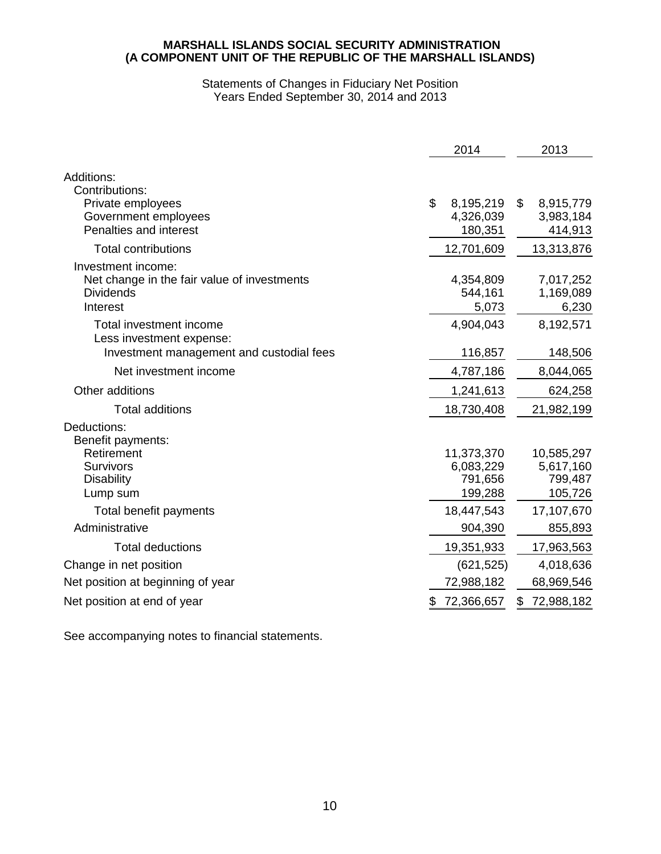## Statements of Changes in Fiduciary Net Position Years Ended September 30, 2014 and 2013

|                                                                                                   | 2014                                          | 2013                                          |
|---------------------------------------------------------------------------------------------------|-----------------------------------------------|-----------------------------------------------|
| Additions:<br>Contributions:                                                                      |                                               |                                               |
| Private employees<br>Government employees<br>Penalties and interest                               | \$<br>8,195,219<br>4,326,039<br>180,351       | \$<br>8,915,779<br>3,983,184<br>414,913       |
| <b>Total contributions</b>                                                                        | 12,701,609                                    | 13,313,876                                    |
| Investment income:<br>Net change in the fair value of investments<br><b>Dividends</b><br>Interest | 4,354,809<br>544,161<br>5,073                 | 7,017,252<br>1,169,089<br>6,230               |
| Total investment income<br>Less investment expense:<br>Investment management and custodial fees   | 4,904,043<br>116,857                          | 8,192,571<br>148,506                          |
| Net investment income                                                                             | 4,787,186                                     | 8,044,065                                     |
| Other additions                                                                                   | 1,241,613                                     | 624,258                                       |
| <b>Total additions</b>                                                                            | 18,730,408                                    | 21,982,199                                    |
| Deductions:<br>Benefit payments:                                                                  |                                               |                                               |
| Retirement<br>Survivors<br><b>Disability</b><br>Lump sum                                          | 11,373,370<br>6,083,229<br>791,656<br>199,288 | 10,585,297<br>5,617,160<br>799,487<br>105,726 |
| Total benefit payments                                                                            | 18,447,543                                    | 17,107,670                                    |
| Administrative                                                                                    | 904,390                                       | 855,893                                       |
| <b>Total deductions</b>                                                                           | 19,351,933                                    | 17,963,563                                    |
| Change in net position                                                                            | (621, 525)                                    | 4,018,636                                     |
| Net position at beginning of year                                                                 | 72,988,182                                    | 68,969,546                                    |
| Net position at end of year                                                                       | 72,366,657<br>\$                              | \$<br>72,988,182                              |
|                                                                                                   |                                               |                                               |

See accompanying notes to financial statements.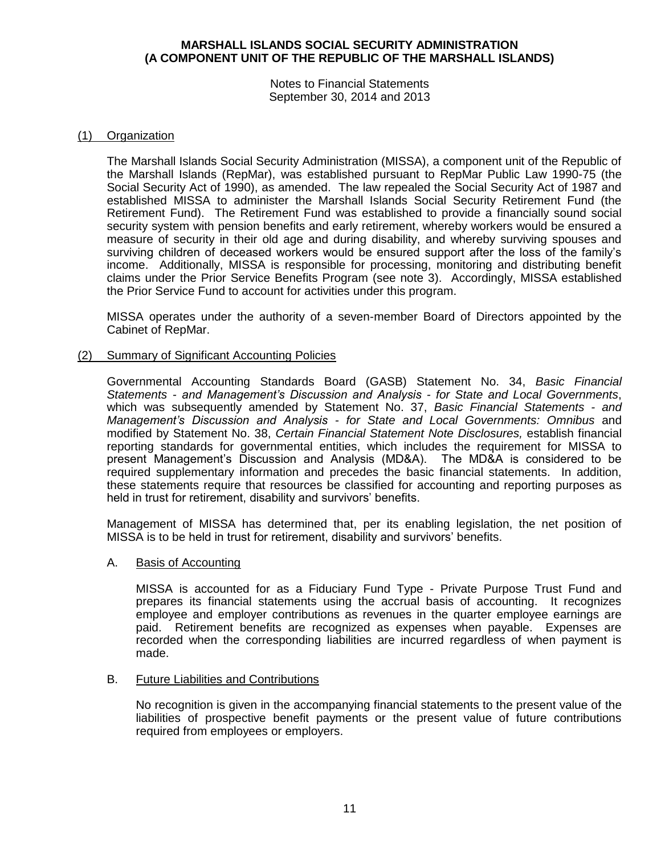Notes to Financial Statements September 30, 2014 and 2013

## (1) Organization

The Marshall Islands Social Security Administration (MISSA), a component unit of the Republic of the Marshall Islands (RepMar), was established pursuant to RepMar Public Law 1990-75 (the Social Security Act of 1990), as amended. The law repealed the Social Security Act of 1987 and established MISSA to administer the Marshall Islands Social Security Retirement Fund (the Retirement Fund). The Retirement Fund was established to provide a financially sound social security system with pension benefits and early retirement, whereby workers would be ensured a measure of security in their old age and during disability, and whereby surviving spouses and surviving children of deceased workers would be ensured support after the loss of the family's income. Additionally, MISSA is responsible for processing, monitoring and distributing benefit claims under the Prior Service Benefits Program (see note 3). Accordingly, MISSA established the Prior Service Fund to account for activities under this program.

MISSA operates under the authority of a seven-member Board of Directors appointed by the Cabinet of RepMar.

## (2) Summary of Significant Accounting Policies

Governmental Accounting Standards Board (GASB) Statement No. 34, *Basic Financial Statements - and Management's Discussion and Analysis - for State and Local Governments*, which was subsequently amended by Statement No. 37, *Basic Financial Statements - and Management's Discussion and Analysis - for State and Local Governments: Omnibus* and modified by Statement No. 38, *Certain Financial Statement Note Disclosures,* establish financial reporting standards for governmental entities, which includes the requirement for MISSA to present Management's Discussion and Analysis (MD&A). The MD&A is considered to be required supplementary information and precedes the basic financial statements. In addition, these statements require that resources be classified for accounting and reporting purposes as held in trust for retirement, disability and survivors' benefits.

Management of MISSA has determined that, per its enabling legislation, the net position of MISSA is to be held in trust for retirement, disability and survivors' benefits.

## A. Basis of Accounting

MISSA is accounted for as a Fiduciary Fund Type - Private Purpose Trust Fund and prepares its financial statements using the accrual basis of accounting. It recognizes employee and employer contributions as revenues in the quarter employee earnings are paid. Retirement benefits are recognized as expenses when payable. Expenses are recorded when the corresponding liabilities are incurred regardless of when payment is made.

## B. Future Liabilities and Contributions

No recognition is given in the accompanying financial statements to the present value of the liabilities of prospective benefit payments or the present value of future contributions required from employees or employers.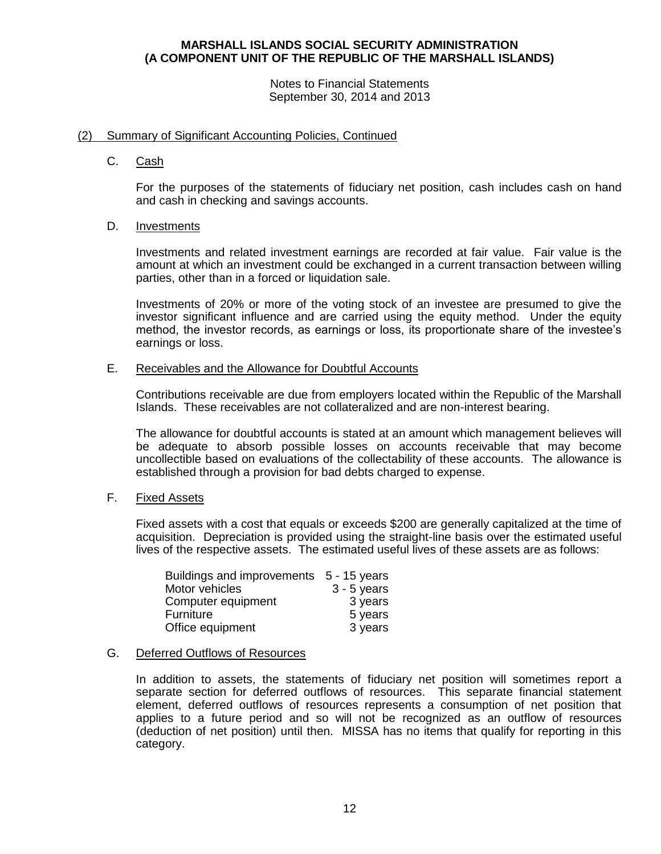Notes to Financial Statements September 30, 2014 and 2013

## (2) Summary of Significant Accounting Policies, Continued

C. Cash

For the purposes of the statements of fiduciary net position, cash includes cash on hand and cash in checking and savings accounts.

## D. Investments

Investments and related investment earnings are recorded at fair value. Fair value is the amount at which an investment could be exchanged in a current transaction between willing parties, other than in a forced or liquidation sale.

Investments of 20% or more of the voting stock of an investee are presumed to give the investor significant influence and are carried using the equity method. Under the equity method, the investor records, as earnings or loss, its proportionate share of the investee's earnings or loss.

## E. Receivables and the Allowance for Doubtful Accounts

Contributions receivable are due from employers located within the Republic of the Marshall Islands. These receivables are not collateralized and are non-interest bearing.

The allowance for doubtful accounts is stated at an amount which management believes will be adequate to absorb possible losses on accounts receivable that may become uncollectible based on evaluations of the collectability of these accounts. The allowance is established through a provision for bad debts charged to expense.

F. Fixed Assets

Fixed assets with a cost that equals or exceeds \$200 are generally capitalized at the time of acquisition. Depreciation is provided using the straight-line basis over the estimated useful lives of the respective assets. The estimated useful lives of these assets are as follows:

| Buildings and improvements 5 - 15 years |               |
|-----------------------------------------|---------------|
| Motor vehicles                          | $3 - 5$ years |
| Computer equipment                      | 3 years       |
| <b>Furniture</b>                        | 5 years       |
| Office equipment                        | 3 years       |

## G. Deferred Outflows of Resources

In addition to assets, the statements of fiduciary net position will sometimes report a separate section for deferred outflows of resources. This separate financial statement element, deferred outflows of resources represents a consumption of net position that applies to a future period and so will not be recognized as an outflow of resources (deduction of net position) until then. MISSA has no items that qualify for reporting in this category.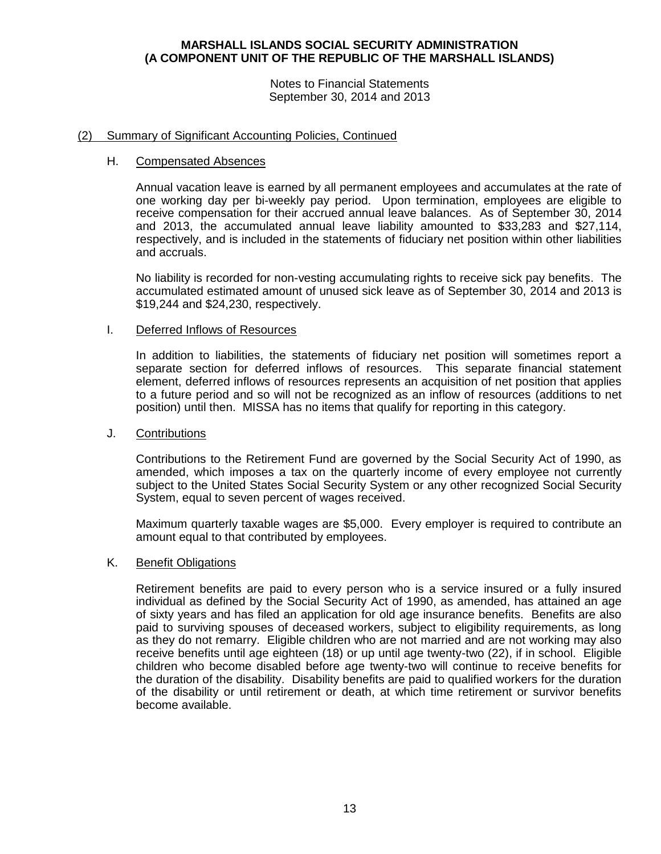Notes to Financial Statements September 30, 2014 and 2013

## (2) Summary of Significant Accounting Policies, Continued

## H. Compensated Absences

Annual vacation leave is earned by all permanent employees and accumulates at the rate of one working day per bi-weekly pay period. Upon termination, employees are eligible to receive compensation for their accrued annual leave balances. As of September 30, 2014 and 2013, the accumulated annual leave liability amounted to \$33,283 and \$27,114, respectively, and is included in the statements of fiduciary net position within other liabilities and accruals.

No liability is recorded for non-vesting accumulating rights to receive sick pay benefits. The accumulated estimated amount of unused sick leave as of September 30, 2014 and 2013 is \$19,244 and \$24,230, respectively.

## I. Deferred Inflows of Resources

In addition to liabilities, the statements of fiduciary net position will sometimes report a separate section for deferred inflows of resources. This separate financial statement element, deferred inflows of resources represents an acquisition of net position that applies to a future period and so will not be recognized as an inflow of resources (additions to net position) until then. MISSA has no items that qualify for reporting in this category.

## J. Contributions

Contributions to the Retirement Fund are governed by the Social Security Act of 1990, as amended, which imposes a tax on the quarterly income of every employee not currently subject to the United States Social Security System or any other recognized Social Security System, equal to seven percent of wages received.

Maximum quarterly taxable wages are \$5,000. Every employer is required to contribute an amount equal to that contributed by employees.

## K. Benefit Obligations

Retirement benefits are paid to every person who is a service insured or a fully insured individual as defined by the Social Security Act of 1990, as amended, has attained an age of sixty years and has filed an application for old age insurance benefits. Benefits are also paid to surviving spouses of deceased workers, subject to eligibility requirements, as long as they do not remarry. Eligible children who are not married and are not working may also receive benefits until age eighteen (18) or up until age twenty-two (22), if in school. Eligible children who become disabled before age twenty-two will continue to receive benefits for the duration of the disability. Disability benefits are paid to qualified workers for the duration of the disability or until retirement or death, at which time retirement or survivor benefits become available.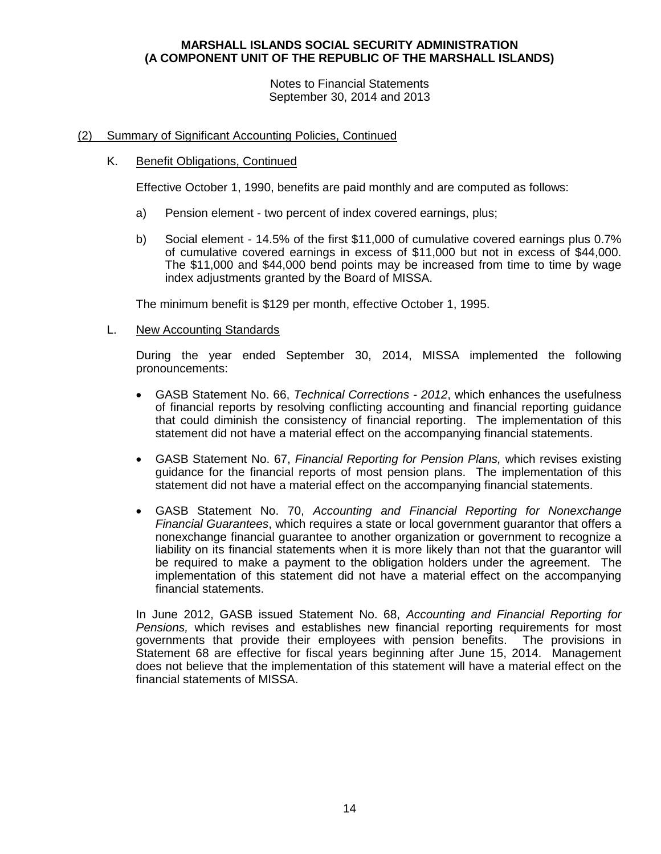Notes to Financial Statements September 30, 2014 and 2013

## (2) Summary of Significant Accounting Policies, Continued

K. Benefit Obligations, Continued

Effective October 1, 1990, benefits are paid monthly and are computed as follows:

- a) Pension element two percent of index covered earnings, plus;
- b) Social element 14.5% of the first \$11,000 of cumulative covered earnings plus 0.7% of cumulative covered earnings in excess of \$11,000 but not in excess of \$44,000. The \$11,000 and \$44,000 bend points may be increased from time to time by wage index adjustments granted by the Board of MISSA.

The minimum benefit is \$129 per month, effective October 1, 1995.

## L. New Accounting Standards

During the year ended September 30, 2014, MISSA implemented the following pronouncements:

- GASB Statement No. 66, *Technical Corrections - 2012*, which enhances the usefulness of financial reports by resolving conflicting accounting and financial reporting guidance that could diminish the consistency of financial reporting. The implementation of this statement did not have a material effect on the accompanying financial statements.
- GASB Statement No. 67, *Financial Reporting for Pension Plans,* which revises existing guidance for the financial reports of most pension plans. The implementation of this statement did not have a material effect on the accompanying financial statements.
- GASB Statement No. 70, *Accounting and Financial Reporting for Nonexchange Financial Guarantees*, which requires a state or local government guarantor that offers a nonexchange financial guarantee to another organization or government to recognize a liability on its financial statements when it is more likely than not that the guarantor will be required to make a payment to the obligation holders under the agreement. The implementation of this statement did not have a material effect on the accompanying financial statements.

In June 2012, GASB issued Statement No. 68, *Accounting and Financial Reporting for Pensions,* which revises and establishes new financial reporting requirements for most governments that provide their employees with pension benefits. The provisions in Statement 68 are effective for fiscal years beginning after June 15, 2014. Management does not believe that the implementation of this statement will have a material effect on the financial statements of MISSA.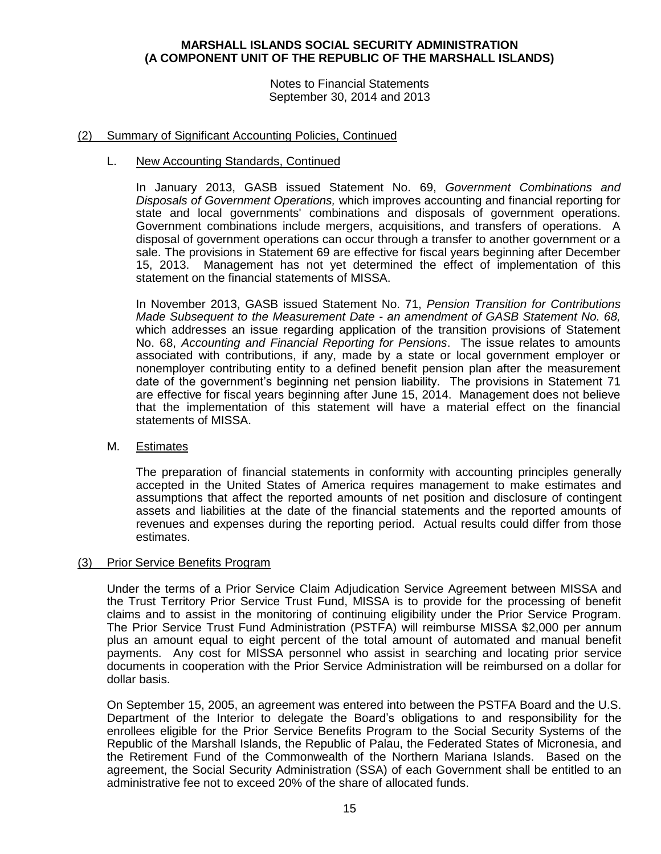Notes to Financial Statements September 30, 2014 and 2013

## (2) Summary of Significant Accounting Policies, Continued

## L. New Accounting Standards, Continued

In January 2013, GASB issued Statement No. 69, *Government Combinations and Disposals of Government Operations,* which improves accounting and financial reporting for state and local governments' combinations and disposals of government operations. Government combinations include mergers, acquisitions, and transfers of operations. A disposal of government operations can occur through a transfer to another government or a sale. The provisions in Statement 69 are effective for fiscal years beginning after December 15, 2013. Management has not yet determined the effect of implementation of this statement on the financial statements of MISSA.

In November 2013, GASB issued Statement No. 71, *Pension Transition for Contributions Made Subsequent to the Measurement Date - an amendment of GASB Statement No. 68,*  which addresses an issue regarding application of the transition provisions of Statement No. 68, *Accounting and Financial Reporting for Pensions*. The issue relates to amounts associated with contributions, if any, made by a state or local government employer or nonemployer contributing entity to a defined benefit pension plan after the measurement date of the government's beginning net pension liability. The provisions in Statement 71 are effective for fiscal years beginning after June 15, 2014. Management does not believe that the implementation of this statement will have a material effect on the financial statements of MISSA.

## M. Estimates

The preparation of financial statements in conformity with accounting principles generally accepted in the United States of America requires management to make estimates and assumptions that affect the reported amounts of net position and disclosure of contingent assets and liabilities at the date of the financial statements and the reported amounts of revenues and expenses during the reporting period. Actual results could differ from those estimates.

## (3) Prior Service Benefits Program

Under the terms of a Prior Service Claim Adjudication Service Agreement between MISSA and the Trust Territory Prior Service Trust Fund, MISSA is to provide for the processing of benefit claims and to assist in the monitoring of continuing eligibility under the Prior Service Program. The Prior Service Trust Fund Administration (PSTFA) will reimburse MISSA \$2,000 per annum plus an amount equal to eight percent of the total amount of automated and manual benefit payments. Any cost for MISSA personnel who assist in searching and locating prior service documents in cooperation with the Prior Service Administration will be reimbursed on a dollar for dollar basis.

On September 15, 2005, an agreement was entered into between the PSTFA Board and the U.S. Department of the Interior to delegate the Board's obligations to and responsibility for the enrollees eligible for the Prior Service Benefits Program to the Social Security Systems of the Republic of the Marshall Islands, the Republic of Palau, the Federated States of Micronesia, and the Retirement Fund of the Commonwealth of the Northern Mariana Islands. Based on the agreement, the Social Security Administration (SSA) of each Government shall be entitled to an administrative fee not to exceed 20% of the share of allocated funds.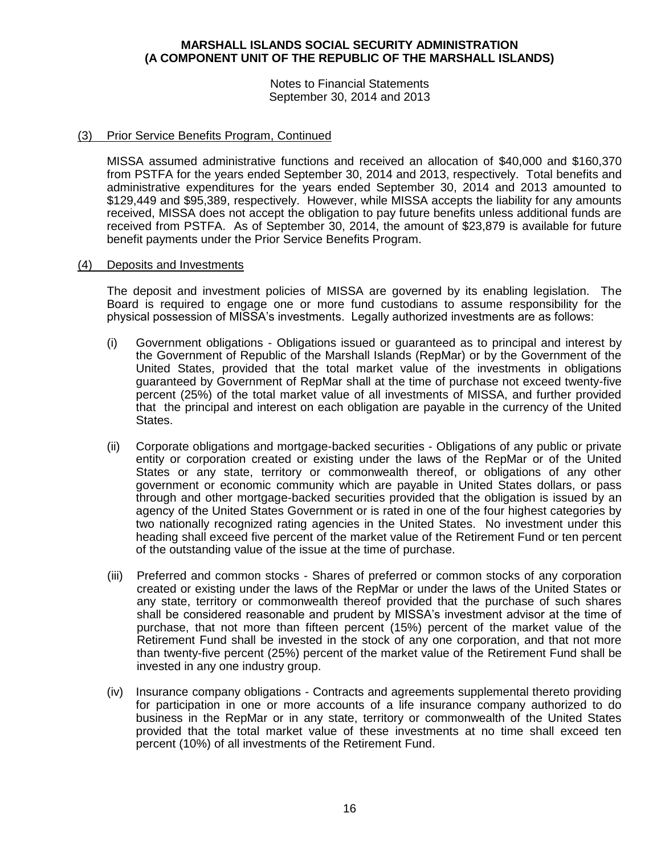Notes to Financial Statements September 30, 2014 and 2013

## (3) Prior Service Benefits Program, Continued

MISSA assumed administrative functions and received an allocation of \$40,000 and \$160,370 from PSTFA for the years ended September 30, 2014 and 2013, respectively. Total benefits and administrative expenditures for the years ended September 30, 2014 and 2013 amounted to \$129,449 and \$95,389, respectively. However, while MISSA accepts the liability for any amounts received, MISSA does not accept the obligation to pay future benefits unless additional funds are received from PSTFA. As of September 30, 2014, the amount of \$23,879 is available for future benefit payments under the Prior Service Benefits Program.

## (4) Deposits and Investments

The deposit and investment policies of MISSA are governed by its enabling legislation. The Board is required to engage one or more fund custodians to assume responsibility for the physical possession of MISSA's investments. Legally authorized investments are as follows:

- (i) Government obligations Obligations issued or guaranteed as to principal and interest by the Government of Republic of the Marshall Islands (RepMar) or by the Government of the United States, provided that the total market value of the investments in obligations guaranteed by Government of RepMar shall at the time of purchase not exceed twenty-five percent (25%) of the total market value of all investments of MISSA, and further provided that the principal and interest on each obligation are payable in the currency of the United States.
- (ii) Corporate obligations and mortgage-backed securities Obligations of any public or private entity or corporation created or existing under the laws of the RepMar or of the United States or any state, territory or commonwealth thereof, or obligations of any other government or economic community which are payable in United States dollars, or pass through and other mortgage-backed securities provided that the obligation is issued by an agency of the United States Government or is rated in one of the four highest categories by two nationally recognized rating agencies in the United States. No investment under this heading shall exceed five percent of the market value of the Retirement Fund or ten percent of the outstanding value of the issue at the time of purchase.
- (iii) Preferred and common stocks Shares of preferred or common stocks of any corporation created or existing under the laws of the RepMar or under the laws of the United States or any state, territory or commonwealth thereof provided that the purchase of such shares shall be considered reasonable and prudent by MISSA's investment advisor at the time of purchase, that not more than fifteen percent (15%) percent of the market value of the Retirement Fund shall be invested in the stock of any one corporation, and that not more than twenty-five percent (25%) percent of the market value of the Retirement Fund shall be invested in any one industry group.
- (iv) Insurance company obligations Contracts and agreements supplemental thereto providing for participation in one or more accounts of a life insurance company authorized to do business in the RepMar or in any state, territory or commonwealth of the United States provided that the total market value of these investments at no time shall exceed ten percent (10%) of all investments of the Retirement Fund.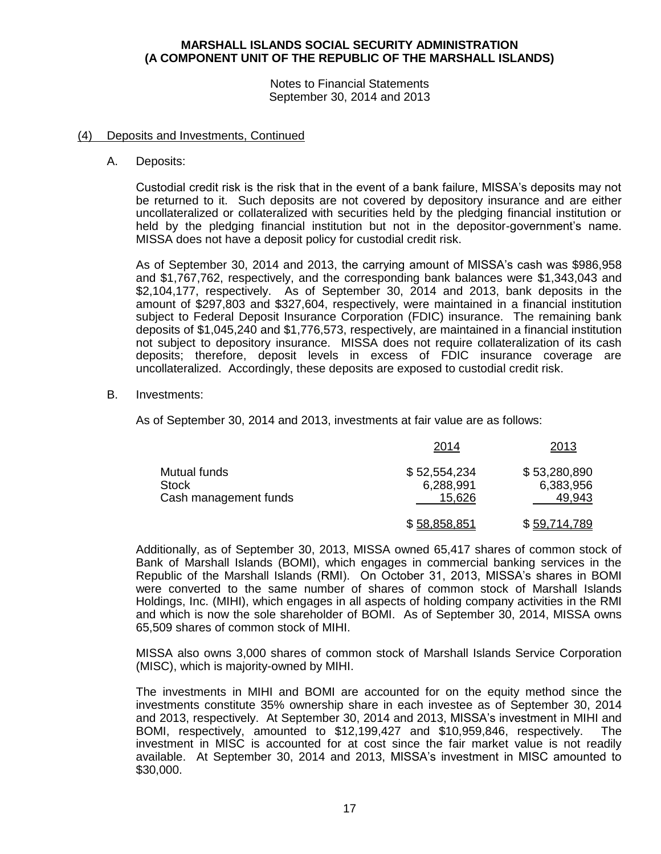Notes to Financial Statements September 30, 2014 and 2013

## (4) Deposits and Investments, Continued

A. Deposits:

Custodial credit risk is the risk that in the event of a bank failure, MISSA's deposits may not be returned to it. Such deposits are not covered by depository insurance and are either uncollateralized or collateralized with securities held by the pledging financial institution or held by the pledging financial institution but not in the depositor-government's name. MISSA does not have a deposit policy for custodial credit risk.

As of September 30, 2014 and 2013, the carrying amount of MISSA's cash was \$986,958 and \$1,767,762, respectively, and the corresponding bank balances were \$1,343,043 and \$2,104,177, respectively. As of September 30, 2014 and 2013, bank deposits in the amount of \$297,803 and \$327,604, respectively, were maintained in a financial institution subject to Federal Deposit Insurance Corporation (FDIC) insurance. The remaining bank deposits of \$1,045,240 and \$1,776,573, respectively, are maintained in a financial institution not subject to depository insurance. MISSA does not require collateralization of its cash deposits; therefore, deposit levels in excess of FDIC insurance coverage are uncollateralized. Accordingly, these deposits are exposed to custodial credit risk.

B. Investments:

As of September 30, 2014 and 2013, investments at fair value are as follows:

|                       | 2014         | 2013         |
|-----------------------|--------------|--------------|
| Mutual funds          | \$52,554,234 | \$53,280,890 |
| Stock                 | 6,288,991    | 6,383,956    |
| Cash management funds | 15.626       | 49,943       |
|                       | \$58,858,851 | \$59,714,789 |

Additionally, as of September 30, 2013, MISSA owned 65,417 shares of common stock of Bank of Marshall Islands (BOMI), which engages in commercial banking services in the Republic of the Marshall Islands (RMI). On October 31, 2013, MISSA's shares in BOMI were converted to the same number of shares of common stock of Marshall Islands Holdings, Inc. (MIHI), which engages in all aspects of holding company activities in the RMI and which is now the sole shareholder of BOMI. As of September 30, 2014, MISSA owns 65,509 shares of common stock of MIHI.

MISSA also owns 3,000 shares of common stock of Marshall Islands Service Corporation (MISC), which is majority-owned by MIHI.

The investments in MIHI and BOMI are accounted for on the equity method since the investments constitute 35% ownership share in each investee as of September 30, 2014 and 2013, respectively. At September 30, 2014 and 2013, MISSA's investment in MIHI and BOMI, respectively, amounted to \$12,199,427 and \$10,959,846, respectively. The investment in MISC is accounted for at cost since the fair market value is not readily available. At September 30, 2014 and 2013, MISSA's investment in MISC amounted to \$30,000.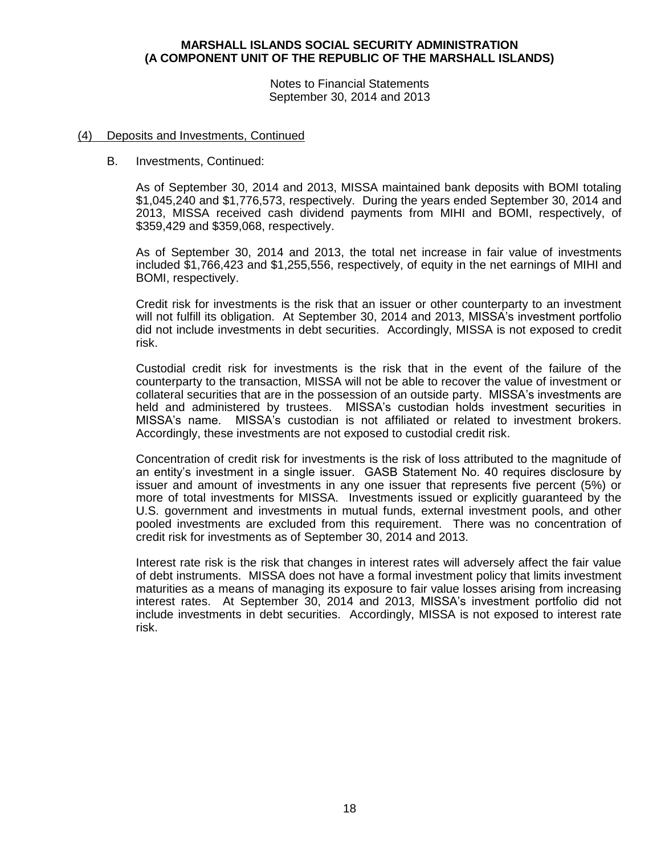Notes to Financial Statements September 30, 2014 and 2013

## (4) Deposits and Investments, Continued

B. Investments, Continued:

As of September 30, 2014 and 2013, MISSA maintained bank deposits with BOMI totaling \$1,045,240 and \$1,776,573, respectively. During the years ended September 30, 2014 and 2013, MISSA received cash dividend payments from MIHI and BOMI, respectively, of \$359,429 and \$359,068, respectively.

As of September 30, 2014 and 2013, the total net increase in fair value of investments included \$1,766,423 and \$1,255,556, respectively, of equity in the net earnings of MIHI and BOMI, respectively.

Credit risk for investments is the risk that an issuer or other counterparty to an investment will not fulfill its obligation. At September 30, 2014 and 2013, MISSA's investment portfolio did not include investments in debt securities. Accordingly, MISSA is not exposed to credit risk.

Custodial credit risk for investments is the risk that in the event of the failure of the counterparty to the transaction, MISSA will not be able to recover the value of investment or collateral securities that are in the possession of an outside party. MISSA's investments are held and administered by trustees. MISSA's custodian holds investment securities in MISSA's name. MISSA's custodian is not affiliated or related to investment brokers. Accordingly, these investments are not exposed to custodial credit risk.

Concentration of credit risk for investments is the risk of loss attributed to the magnitude of an entity's investment in a single issuer. GASB Statement No. 40 requires disclosure by issuer and amount of investments in any one issuer that represents five percent (5%) or more of total investments for MISSA. Investments issued or explicitly guaranteed by the U.S. government and investments in mutual funds, external investment pools, and other pooled investments are excluded from this requirement. There was no concentration of credit risk for investments as of September 30, 2014 and 2013.

Interest rate risk is the risk that changes in interest rates will adversely affect the fair value of debt instruments. MISSA does not have a formal investment policy that limits investment maturities as a means of managing its exposure to fair value losses arising from increasing interest rates. At September 30, 2014 and 2013, MISSA's investment portfolio did not include investments in debt securities. Accordingly, MISSA is not exposed to interest rate risk.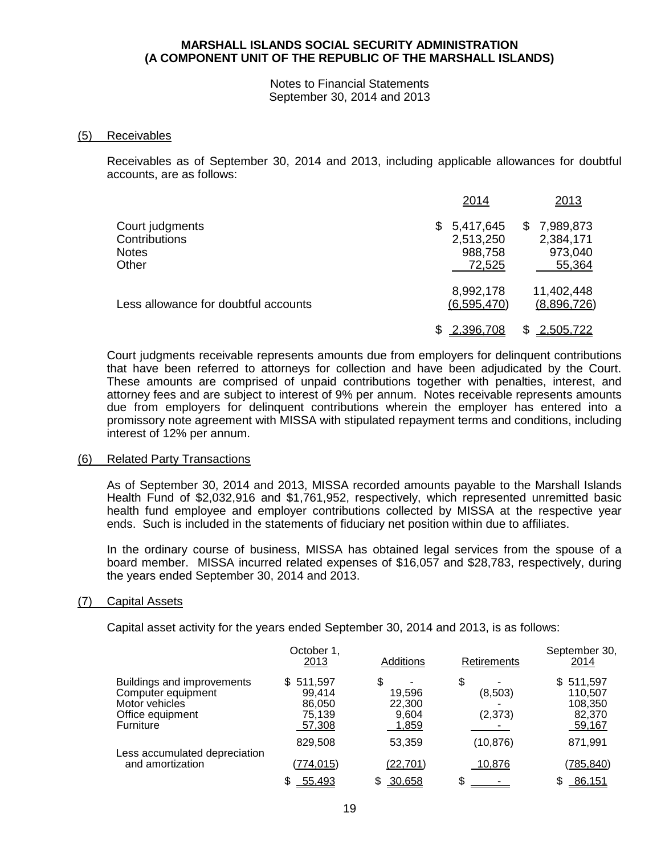Notes to Financial Statements September 30, 2014 and 2013

#### (5) Receivables

Receivables as of September 30, 2014 and 2013, including applicable allowances for doubtful accounts, are as follows:

|                                                                  | 2014                                              | 2013                                              |
|------------------------------------------------------------------|---------------------------------------------------|---------------------------------------------------|
| Court judgments<br><b>Contributions</b><br><b>Notes</b><br>Other | 5,417,645<br>S.<br>2,513,250<br>988,758<br>72,525 | 7,989,873<br>S.<br>2,384,171<br>973,040<br>55,364 |
| Less allowance for doubtful accounts                             | 8,992,178<br>(6,595,470)                          | 11,402,448<br>(8,896,726)                         |
|                                                                  | 2,396,708                                         | 2,505,722                                         |

Court judgments receivable represents amounts due from employers for delinquent contributions that have been referred to attorneys for collection and have been adjudicated by the Court. These amounts are comprised of unpaid contributions together with penalties, interest, and attorney fees and are subject to interest of 9% per annum. Notes receivable represents amounts due from employers for delinquent contributions wherein the employer has entered into a promissory note agreement with MISSA with stipulated repayment terms and conditions, including interest of 12% per annum.

#### (6) Related Party Transactions

As of September 30, 2014 and 2013, MISSA recorded amounts payable to the Marshall Islands Health Fund of \$2,032,916 and \$1,761,952, respectively, which represented unremitted basic health fund employee and employer contributions collected by MISSA at the respective year ends. Such is included in the statements of fiduciary net position within due to affiliates.

In the ordinary course of business, MISSA has obtained legal services from the spouse of a board member. MISSA incurred related expenses of \$16,057 and \$28,783, respectively, during the years ended September 30, 2014 and 2013.

## (7) Capital Assets

Capital asset activity for the years ended September 30, 2014 and 2013, is as follows:

|                                                                                                            | October 1,<br>2013                                 | Additions                                       | <b>Retirements</b>        | September 30,<br>2014                                      |
|------------------------------------------------------------------------------------------------------------|----------------------------------------------------|-------------------------------------------------|---------------------------|------------------------------------------------------------|
| Buildings and improvements<br>Computer equipment<br>Motor vehicles<br>Office equipment<br><b>Furniture</b> | \$ 511.597<br>99,414<br>86,050<br>75.139<br>57,308 | \$<br>19,596<br>22,300<br>9.604<br><u>1,859</u> | \$<br>(8,503)<br>(2, 373) | \$511,597<br>110,507<br>108,350<br>82,370<br><u>59,167</u> |
| Less accumulated depreciation<br>and amortization                                                          | 829,508<br>(774, 015)<br>55,493                    | 53,359<br>(22, 701)<br>30,658                   | (10, 876)<br>10,876       | 871,991<br>(785, 840)<br>86,151                            |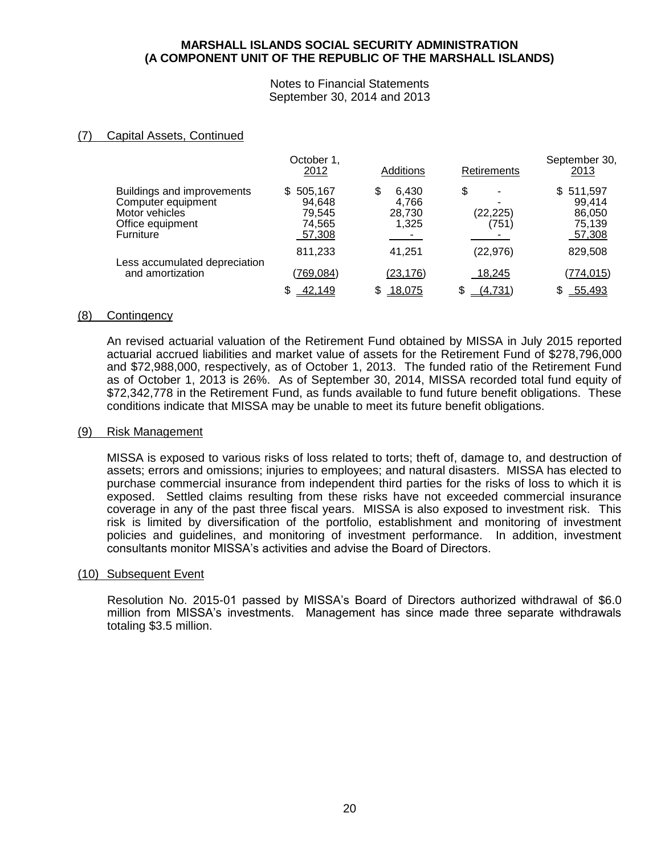Notes to Financial Statements September 30, 2014 and 2013

## (7) Capital Assets, Continued

|                                                                                                            | October 1,<br>2012                                | Additions                               | Retirements                          | September 30,<br>2013                             |
|------------------------------------------------------------------------------------------------------------|---------------------------------------------------|-----------------------------------------|--------------------------------------|---------------------------------------------------|
| Buildings and improvements<br>Computer equipment<br>Motor vehicles<br>Office equipment<br><b>Furniture</b> | \$505,167<br>94.648<br>79.545<br>74,565<br>57,308 | \$<br>6,430<br>4,766<br>28,730<br>1,325 | \$<br>-<br>(22, 225)<br>(751         | \$511,597<br>99.414<br>86,050<br>75,139<br>57,308 |
| Less accumulated depreciation<br>and amortization                                                          | 811,233<br><u>(769,084)</u><br>42,149<br>S        | 41,251<br>(23, 176)<br>18,075<br>\$     | (22, 976)<br>18,245<br>(4,731)<br>\$ | 829,508<br>(774, 015)<br>55,493                   |

#### (8) Contingency

An revised actuarial valuation of the Retirement Fund obtained by MISSA in July 2015 reported actuarial accrued liabilities and market value of assets for the Retirement Fund of \$278,796,000 and \$72,988,000, respectively, as of October 1, 2013. The funded ratio of the Retirement Fund as of October 1, 2013 is 26%. As of September 30, 2014, MISSA recorded total fund equity of \$72,342,778 in the Retirement Fund, as funds available to fund future benefit obligations. These conditions indicate that MISSA may be unable to meet its future benefit obligations.

### (9) Risk Management

MISSA is exposed to various risks of loss related to torts; theft of, damage to, and destruction of assets; errors and omissions; injuries to employees; and natural disasters. MISSA has elected to purchase commercial insurance from independent third parties for the risks of loss to which it is exposed. Settled claims resulting from these risks have not exceeded commercial insurance coverage in any of the past three fiscal years. MISSA is also exposed to investment risk. This risk is limited by diversification of the portfolio, establishment and monitoring of investment policies and guidelines, and monitoring of investment performance. In addition, investment consultants monitor MISSA's activities and advise the Board of Directors.

#### (10) Subsequent Event

Resolution No. 2015-01 passed by MISSA's Board of Directors authorized withdrawal of \$6.0 million from MISSA's investments. Management has since made three separate withdrawals totaling \$3.5 million.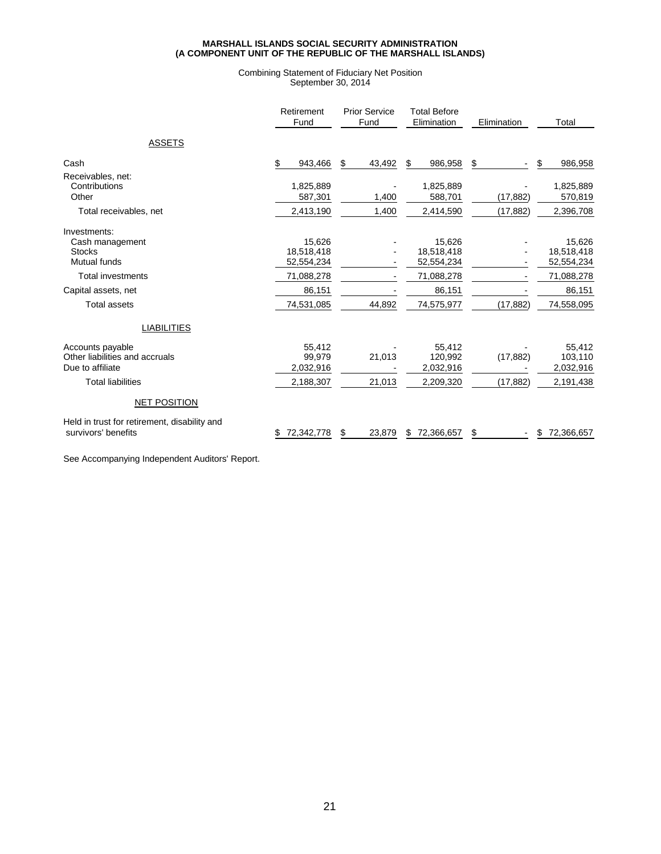#### Combining Statement of Fiduciary Net Position September 30, 2014

|                                                                        | Retirement                    | <b>Prior Service</b> | <b>Total Before</b>            |             |                                |
|------------------------------------------------------------------------|-------------------------------|----------------------|--------------------------------|-------------|--------------------------------|
|                                                                        | Fund                          | Fund                 | Elimination                    | Elimination | Total                          |
| <b>ASSETS</b>                                                          |                               |                      |                                |             |                                |
| Cash                                                                   | \$<br>943,466                 | 43,492<br>\$         | \$<br>986,958                  | \$          | 986,958<br>S                   |
| Receivables, net:<br>Contributions<br>Other                            | 1,825,889<br>587,301          | 1,400                | 1,825,889<br>588,701           | (17, 882)   | 1,825,889<br>570,819           |
| Total receivables, net                                                 | 2,413,190                     | 1,400                | 2,414,590                      | (17, 882)   | 2,396,708                      |
| Investments:<br>Cash management                                        | 15,626                        |                      | 15,626                         |             | 15,626                         |
| <b>Stocks</b><br>Mutual funds                                          | 18,518,418<br>52,554,234      |                      | 18,518,418<br>52,554,234       |             | 18,518,418<br>52,554,234       |
| <b>Total investments</b>                                               | 71,088,278                    |                      | 71,088,278                     |             | 71,088,278                     |
| Capital assets, net                                                    | 86,151                        |                      | 86,151                         |             | 86,151                         |
| <b>Total assets</b>                                                    | 74,531,085                    | 44,892               | 74,575,977                     | (17, 882)   | 74,558,095                     |
| <b>LIABILITIES</b>                                                     |                               |                      |                                |             |                                |
| Accounts payable<br>Other liabilities and accruals<br>Due to affiliate | 55,412<br>99,979<br>2,032,916 | 21,013               | 55,412<br>120,992<br>2,032,916 | (17, 882)   | 55,412<br>103,110<br>2,032,916 |
| <b>Total liabilities</b>                                               | 2,188,307                     | 21,013               | 2,209,320                      | (17, 882)   | 2,191,438                      |
| <b>NET POSITION</b>                                                    |                               |                      |                                |             |                                |
| Held in trust for retirement, disability and<br>survivors' benefits    | 72,342,778<br>\$              | \$<br>23,879         | \$<br>72,366,657               | \$          | 72,366,657<br>S                |

See Accompanying Independent Auditors' Report.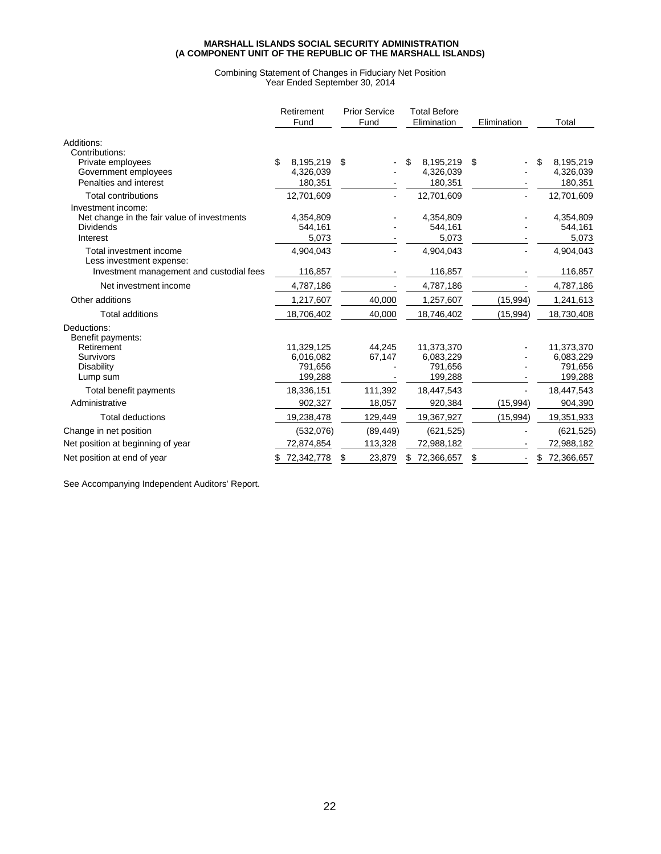#### Combining Statement of Changes in Fiduciary Net Position Year Ended September 30, 2014

|                                                                   | Retirement<br>Fund | <b>Prior Service</b><br>Fund | <b>Total Before</b><br>Elimination | Elimination | Total            |
|-------------------------------------------------------------------|--------------------|------------------------------|------------------------------------|-------------|------------------|
| Additions:<br>Contributions:                                      |                    |                              |                                    |             |                  |
| Private employees                                                 | \$<br>8,195,219    | \$                           | \$<br>8,195,219                    | - \$        | \$<br>8,195,219  |
| Government employees                                              | 4,326,039          |                              | 4,326,039                          |             | 4,326,039        |
| Penalties and interest                                            | 180,351            |                              | 180,351                            |             | 180,351          |
| <b>Total contributions</b>                                        | 12,701,609         |                              | 12,701,609                         |             | 12,701,609       |
| Investment income:<br>Net change in the fair value of investments | 4,354,809          |                              | 4,354,809                          |             | 4,354,809        |
| <b>Dividends</b>                                                  | 544,161            |                              | 544,161                            |             | 544,161          |
| Interest                                                          | 5,073              |                              | 5,073                              |             | 5,073            |
| Total investment income<br>Less investment expense:               | 4,904,043          |                              | 4,904,043                          |             | 4,904,043        |
| Investment management and custodial fees                          | 116,857            |                              | 116,857                            |             | 116,857          |
| Net investment income                                             | 4,787,186          |                              | 4,787,186                          |             | 4,787,186        |
| Other additions                                                   | 1,217,607          | 40,000                       | 1,257,607                          | (15,994)    | 1,241,613        |
| <b>Total additions</b>                                            | 18,706,402         | 40,000                       | 18,746,402                         | (15, 994)   | 18,730,408       |
| Deductions:<br>Benefit payments:                                  |                    |                              |                                    |             |                  |
| Retirement                                                        | 11,329,125         | 44,245                       | 11,373,370                         |             | 11,373,370       |
| Survivors                                                         | 6,016,082          | 67,147                       | 6,083,229                          |             | 6,083,229        |
| <b>Disability</b>                                                 | 791,656            |                              | 791,656                            |             | 791,656          |
| Lump sum                                                          | 199,288            |                              | 199,288                            |             | 199,288          |
| Total benefit payments                                            | 18,336,151         | 111,392                      | 18,447,543                         |             | 18,447,543       |
| Administrative                                                    | 902,327            | 18,057                       | 920,384                            | (15, 994)   | 904,390          |
| <b>Total deductions</b>                                           | 19,238,478         | 129,449                      | 19,367,927                         | (15, 994)   | 19,351,933       |
| Change in net position                                            | (532,076)          | (89, 449)                    | (621, 525)                         |             | (621, 525)       |
| Net position at beginning of year                                 | 72,874,854         | 113,328                      | 72,988,182                         |             | 72,988,182       |
| Net position at end of year                                       | 72,342,778<br>\$   | 23,879<br>\$                 | 72,366,657<br>S                    | \$          | 72,366,657<br>\$ |

See Accompanying Independent Auditors' Report.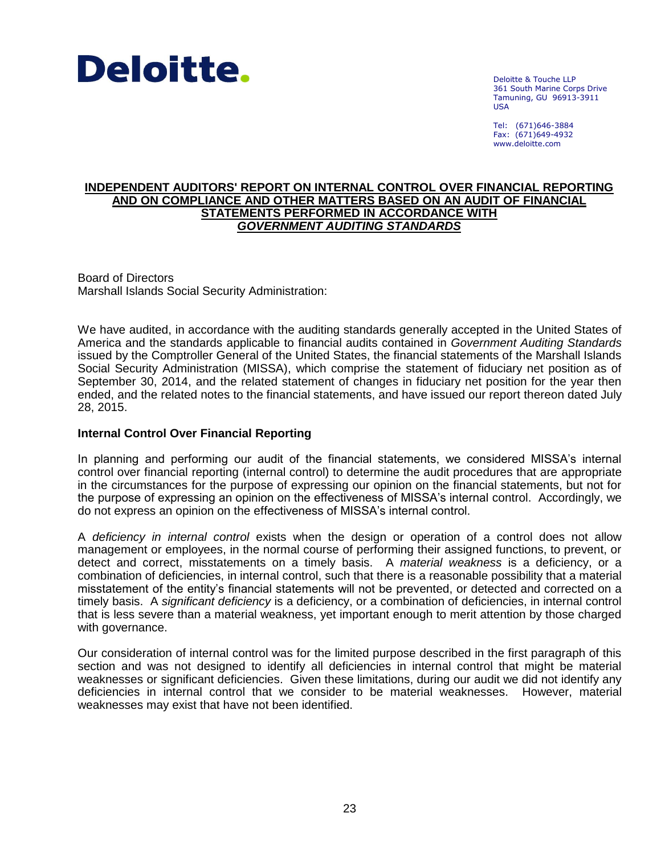

Deloitte & Touche LLP 361 South Marine Corps Drive Tamuning, GU 96913-3911 USA

Tel: (671)646-3884 Fax: (671)649-4932 www.deloitte.com

## **INDEPENDENT AUDITORS' REPORT ON INTERNAL CONTROL OVER FINANCIAL REPORTING AND ON COMPLIANCE AND OTHER MATTERS BASED ON AN AUDIT OF FINANCIAL STATEMENTS PERFORMED IN ACCORDANCE WITH**  *GOVERNMENT AUDITING STANDARDS*

Board of Directors Marshall Islands Social Security Administration:

We have audited, in accordance with the auditing standards generally accepted in the United States of America and the standards applicable to financial audits contained in *Government Auditing Standards* issued by the Comptroller General of the United States, the financial statements of the Marshall Islands Social Security Administration (MISSA), which comprise the statement of fiduciary net position as of September 30, 2014, and the related statement of changes in fiduciary net position for the year then ended, and the related notes to the financial statements, and have issued our report thereon dated July 28, 2015.

## **Internal Control Over Financial Reporting**

In planning and performing our audit of the financial statements, we considered MISSA's internal control over financial reporting (internal control) to determine the audit procedures that are appropriate in the circumstances for the purpose of expressing our opinion on the financial statements, but not for the purpose of expressing an opinion on the effectiveness of MISSA's internal control. Accordingly, we do not express an opinion on the effectiveness of MISSA's internal control.

A *deficiency in internal control* exists when the design or operation of a control does not allow management or employees, in the normal course of performing their assigned functions, to prevent, or detect and correct, misstatements on a timely basis. A *material weakness* is a deficiency, or a combination of deficiencies, in internal control, such that there is a reasonable possibility that a material misstatement of the entity's financial statements will not be prevented, or detected and corrected on a timely basis. A *significant deficiency* is a deficiency, or a combination of deficiencies, in internal control that is less severe than a material weakness, yet important enough to merit attention by those charged with governance.

Our consideration of internal control was for the limited purpose described in the first paragraph of this section and was not designed to identify all deficiencies in internal control that might be material weaknesses or significant deficiencies. Given these limitations, during our audit we did not identify any deficiencies in internal control that we consider to be material weaknesses. However, material weaknesses may exist that have not been identified.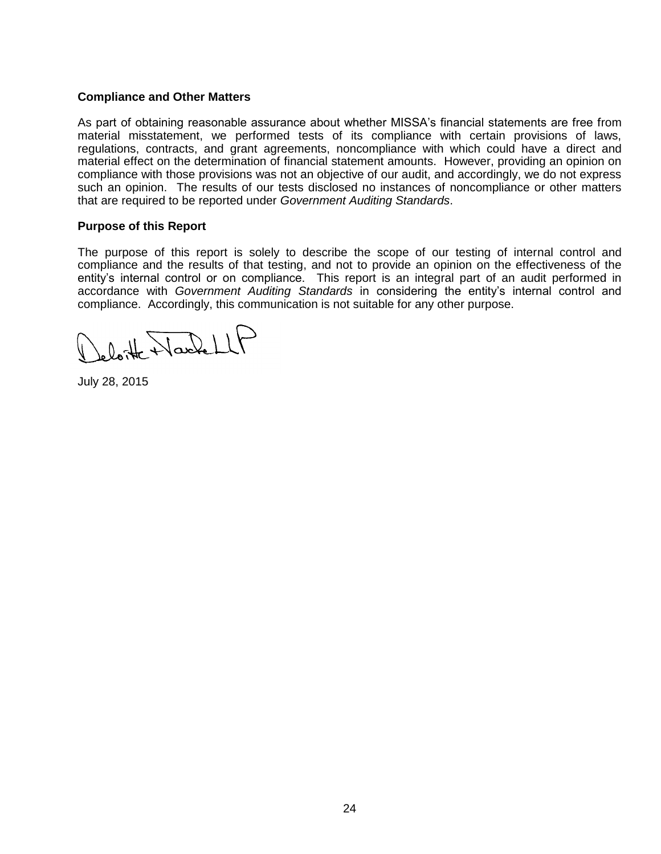## **Compliance and Other Matters**

As part of obtaining reasonable assurance about whether MISSA's financial statements are free from material misstatement, we performed tests of its compliance with certain provisions of laws, regulations, contracts, and grant agreements, noncompliance with which could have a direct and material effect on the determination of financial statement amounts. However, providing an opinion on compliance with those provisions was not an objective of our audit, and accordingly, we do not express such an opinion. The results of our tests disclosed no instances of noncompliance or other matters that are required to be reported under *Government Auditing Standards*.

## **Purpose of this Report**

The purpose of this report is solely to describe the scope of our testing of internal control and compliance and the results of that testing, and not to provide an opinion on the effectiveness of the entity's internal control or on compliance. This report is an integral part of an audit performed in accordance with *Government Auditing Standards* in considering the entity's internal control and compliance. Accordingly, this communication is not suitable for any other purpose.

loite Nachell

July 28, 2015